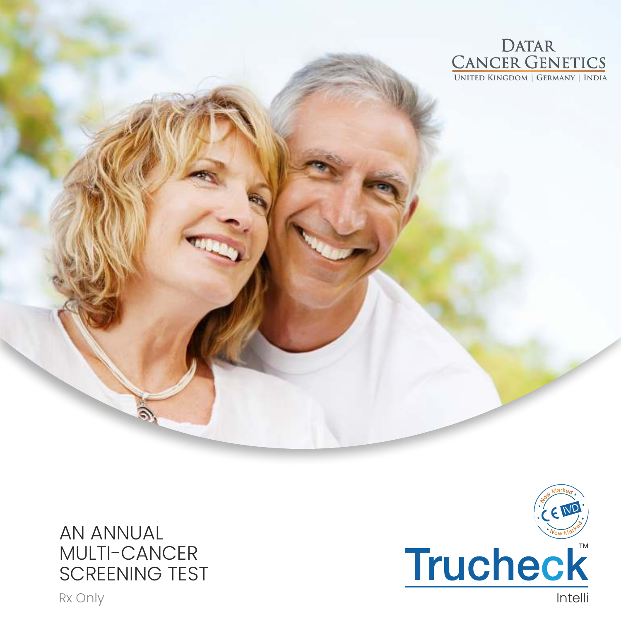

### AN ANNUAL MULTI-CANCER SCREENING TEST

Rx Only **Intelli** 

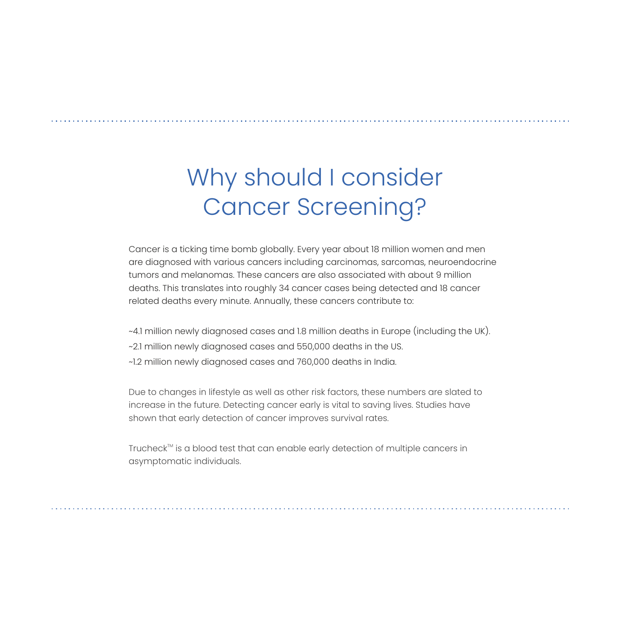# Why should I consider Cancer Screening?

Cancer is a ticking time bomb globally. Every year about 18 million women and men are diagnosed with various cancers including carcinomas, sarcomas, neuroendocrine tumors and melanomas. These cancers are also associated with about 9 million deaths. This translates into roughly 34 cancer cases being detected and 18 cancer related deaths every minute. Annually, these cancers contribute to:

~2.1 million newly diagnosed cases and 550,000 deaths in the US. ~4.1 million newly diagnosed cases and 1.8 million deaths in Europe (including the UK). ~1.2 million newly diagnosed cases and 760,000 deaths in India.

Due to changes in lifestyle as well as other risk factors, these numbers are slated to increase in the future. Detecting cancer early is vital to saving lives. Studies have shown that early detection of cancer improves survival rates.

Trucheck<sup>™</sup> is a blood test that can enable early detection of multiple cancers in asymptomatic individuals.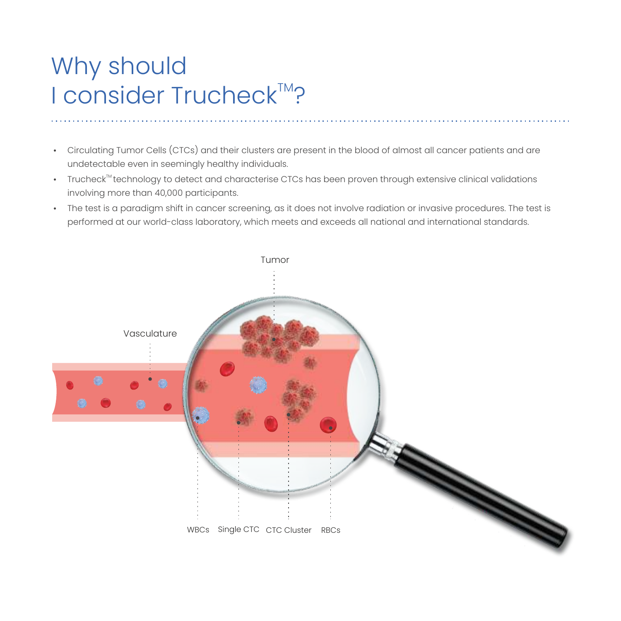# Why should I consider Trucheck<sup>™?</sup>

- Circulating Tumor Cells (CTCs) and their clusters are present in the blood of almost all cancer patients and are undetectable even in seemingly healthy individuals.
- $\cdot$  Trucheck $^{\text{\tiny{TM}}}$ technology to detect and characterise CTCs has been proven through extensive clinical validations involving more than 40,000 participants.
- The test is a paradigm shift in cancer screening, as it does not involve radiation or invasive procedures. The test is performed at our world-class laboratory, which meets and exceeds all national and international standards.

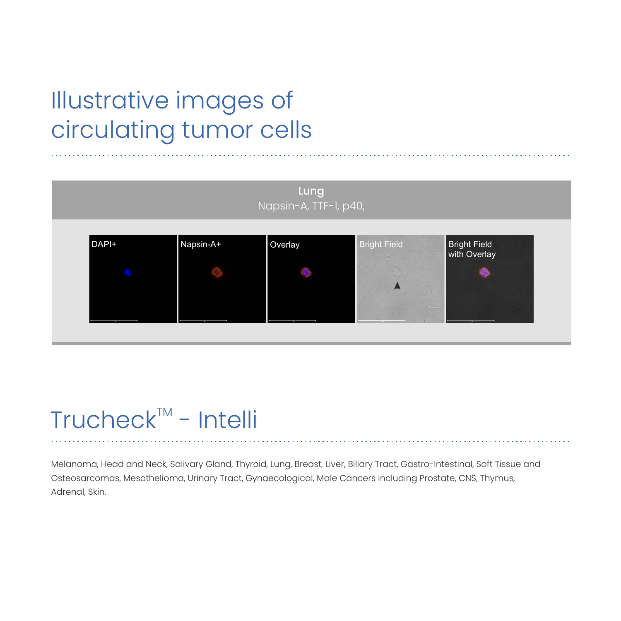# Illustrative images of circulating tumor cells



### $Trucheck<sup>TM</sup> - Intelli$

Melanoma, Head and Neck, Salivary Gland, Thyroid, Lung, Breast, Liver, Biliary Tract, Gastro-Intestinal, Soft Tissue and Osteosarcomas, Mesothelioma, Urinary Tract, Gynaecological, Male Cancers including Prostate, CNS, Thymus, Adrenal, Skin.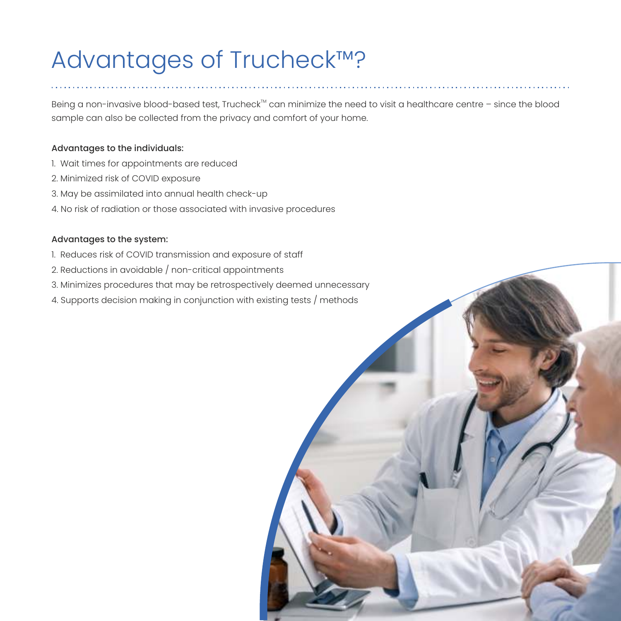# Advantages of Trucheck™?

Being a non-invasive blood-based test, Trucheck<sup>™</sup> can minimize the need to visit a healthcare centre - since the blood sample can also be collected from the privacy and comfort of your home.

#### Advantages to the individuals:

- 1. Wait times for appointments are reduced
- 2.Minimized risk of COVID exposure
- 3. May be assimilated into annual health check-up
- 4. No risk of radiation or those associated with invasive procedures

#### Advantages to the system:

- 1. Reduces risk of COVID transmission and exposure of staff
- 2. Reductions in avoidable / non-critical appointments
- 3.Minimizes procedures that may be retrospectively deemed unnecessary
- 4.Supports decision making in conjunction with existing tests / methods

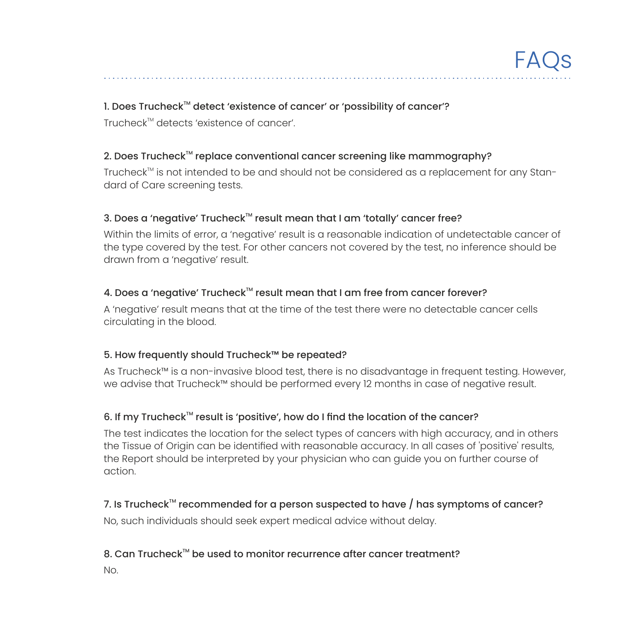#### 1. Does Trucheck<sup>™</sup> detect 'existence of cancer' or 'possibility of cancer'?

 $Trucheck^{\text{TM}}$  detects 'existence of cancer'.

#### 2. Does Trucheck<sup>™</sup> replace conventional cancer screening like mammography?

Trucheck<sup>™</sup> is not intended to be and should not be considered as a replacement for any Standard of Care screening tests.

#### 3. Does a 'negative' Trucheck<sup>™</sup> result mean that I am 'totally' cancer free?

Within the limits of error, a 'negative' result is a reasonable indication of undetectable cancer of the type covered by the test. For other cancers not covered by the test, no inference should be drawn from a 'negative' result.

#### 4. Does a 'negative' Trucheck<sup>™</sup> result mean that I am free from cancer forever?

A 'negative' result means that at the time of the test there were no detectable cancer cells circulating in the blood.

#### 5. How frequently should Trucheck™ be repeated?

As Trucheck™ is a non-invasive blood test, there is no disadvantage in frequent testing. However, we advise that Trucheck™ should be performed every 12 months in case of negative result.

#### 6. If my Trucheck<sup> $m$ </sup> result is 'positive', how do I find the location of the cancer?

The test indicates the location for the select types of cancers with high accuracy, and in others the Tissue of Origin can be identified with reasonable accuracy. In all cases of 'positive' results, the Report should be interpreted by your physician who can guide you on further course of action.

### 7. Is Trucheck<sup>™</sup> recommended for a person suspected to have  $/$  has symptoms of cancer?

No, such individuals should seek expert medical advice without delay.

#### 8. Can Trucheck<sup>™</sup> be used to monitor recurrence after cancer treatment?

No.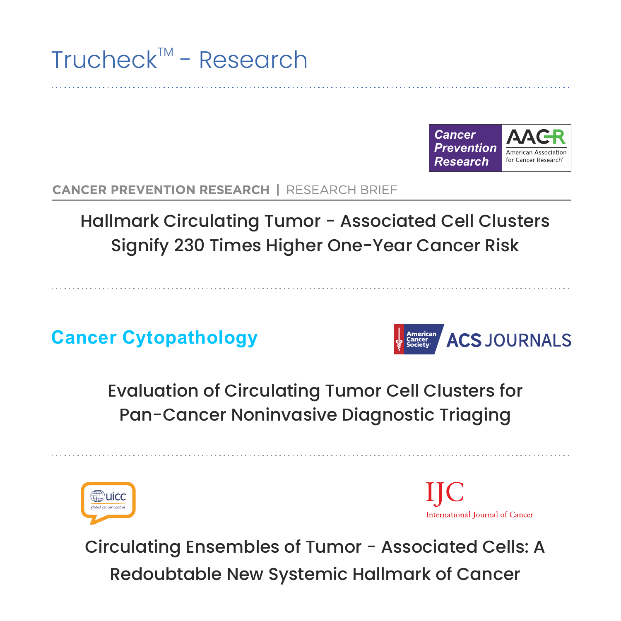



### **CANCER PREVENTION RESEARCH | RESEARCH BRIEF**

Signify 230 Times Higher One-Year Cancer Risk Hallmark Circulating Tumor - Associated Cell Clusters

**Cancer Cytopathology**



Evaluation of Circulating Tumor Cell Clusters for Pan-Cancer Noninvasive Diagnostic Triaging



International Journal of Cancer

Circulating Ensembles of Tumor - Associated Cells: A Redoubtable New Systemic Hallmark of Cancer